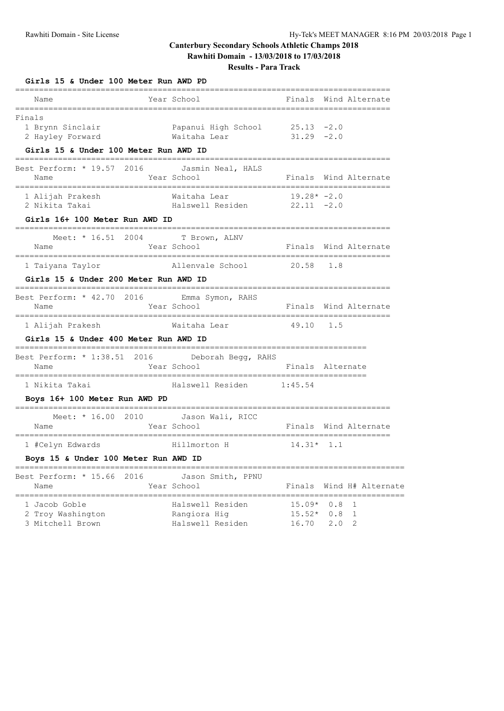# **Canterbury Secondary Schools Athletic Champs 2018 Rawhiti Domain - 13/03/2018 to 17/03/2018**

**Results - Para Track**

| Girls 15 & Under 100 Meter Run AWD PD<br>=====<br>=============               |                                                                 |                               |                   |                       |
|-------------------------------------------------------------------------------|-----------------------------------------------------------------|-------------------------------|-------------------|-----------------------|
| Name                                                                          | Year School                                                     |                               |                   | Finals Wind Alternate |
| Finals<br>1 Brynn Sinclair<br>2 Hayley Forward                                | Papanui High School 25.13 -2.0<br>$31.29 - 2.0$<br>Waitaha Lear |                               |                   |                       |
| Girls 15 & Under 100 Meter Run AWD ID<br>==================================== |                                                                 |                               |                   |                       |
| Best Perform: * 19.57 2016 Jasmin Neal, HALS<br>Name                          | Year School                                                     |                               | =============     | Finals Wind Alternate |
| 1 Alijah Prakesh<br>2 Nikita Takai                                            | Waitaha Lear<br>Halswell Residen 22.11 -2.0                     | $19.28* -2.0$                 |                   |                       |
| Girls 16+ 100 Meter Run AWD ID                                                |                                                                 |                               |                   |                       |
| Meet: * 16.51 2004 T Brown, ALNV<br>Name                                      | Year School                                                     |                               |                   | Finals Wind Alternate |
| 1 Taiyana Taylor                                                              | Allenvale School 20.58 1.8                                      |                               |                   |                       |
| Girls 15 & Under 200 Meter Run AWD ID<br>============                         |                                                                 |                               |                   |                       |
| Best Perform: * 42.70 2016 Emma Symon, RAHS<br>Name                           | Year School                                                     |                               |                   | Finals Wind Alternate |
| 1 Alijah Prakesh                                                              | Waitaha Lear                                                    | 49.10 1.5                     |                   |                       |
| Girls 15 & Under 400 Meter Run AWD ID                                         |                                                                 |                               |                   |                       |
| Best Perform: * 1:38.51 2016     Deborah Begg, RAHS<br>Name                   | Year School                                                     | Finals Alternate              |                   |                       |
| 1 Nikita Takai                                                                | Halswell Residen 1:45.54                                        |                               |                   |                       |
| Boys 16+ 100 Meter Run AWD PD                                                 |                                                                 |                               |                   |                       |
| Meet: * 16.00 2010 Jason Wali, RICC<br>Name                                   | Year School                                                     |                               |                   | Finals Wind Alternate |
| 1 #Celyn Edwards                                                              | Hillmorton H                                                    | $14.31*$ 1.1                  |                   |                       |
| Boys 15 & Under 100 Meter Run AWD ID                                          |                                                                 |                               |                   |                       |
| Best Perform: * 15.66<br>2016<br>Name<br>==========                           | Jason Smith, PPNU<br>Year School                                | Finals                        |                   | Wind H# Alternate     |
| 1 Jacob Goble<br>2 Troy Washington<br>3 Mitchell Brown                        | Halswell Residen<br>Rangiora Hig<br>Halswell Residen            | $15.09*$<br>$15.52*$<br>16.70 | 0.8<br>0.8<br>2.0 | 1<br>1<br>2           |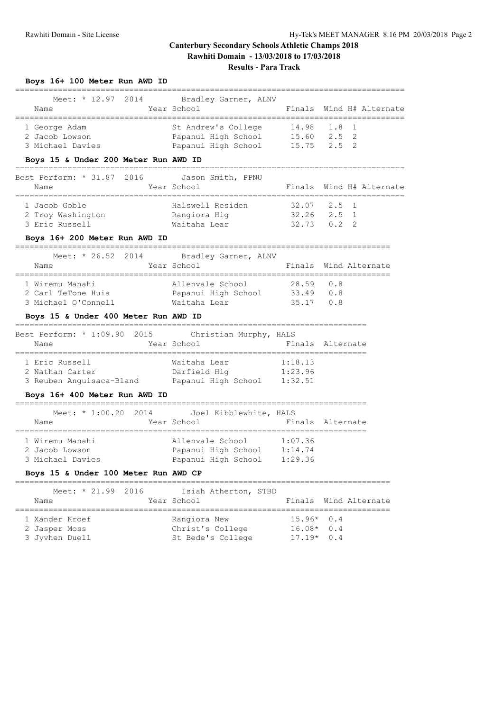### **Canterbury Secondary Schools Athletic Champs 2018 Rawhiti Domain - 13/03/2018 to 17/03/2018 Results - Para Track**

| Meet: * 12.97 2014<br>Name                           | Bradley Garner, ALNV<br>Year School                                                       |                                                     | Finals Wind H# Alternate |
|------------------------------------------------------|-------------------------------------------------------------------------------------------|-----------------------------------------------------|--------------------------|
| 1 George Adam<br>2 Jacob Lowson<br>3 Michael Davies  | St Andrew's College<br>Papanui High School 15.60 2.5 2<br>Papanui High School 15.75 2.5 2 | 14.98 1.8 1                                         |                          |
| Boys 15 & Under 200 Meter Run AWD ID                 |                                                                                           |                                                     |                          |
| Best Perform: * 31.87 2016 Jason Smith, PPNU<br>Name | Year School                                                                               |                                                     | Finals Wind H# Alternate |
| 1 Jacob Goble<br>2 Troy Washington<br>3 Eric Russell | Halswell Residen<br>Rangiora Hig<br>Waitaha Lear                                          | $32.07$ $2.5$ 1<br>$32.26$ $2.5$ 1<br>$32.73$ 0.2 2 |                          |
| Boys 16+ 200 Mater Run AWD ID                        |                                                                                           |                                                     |                          |

#### **Boys 16+ 200 Meter Run AWD ID**

**Boys 16+ 100 Meter Run AWD ID**

| Meet: $* 26.52 2014$ | Bradley Garner, ALNV |                |                       |
|----------------------|----------------------|----------------|-----------------------|
| Name                 | Year School          |                | Finals Wind Alternate |
|                      |                      |                |                       |
| 1 Wiremu Manahi      | Allenvale School     | 28.59 0.8      |                       |
| 2 Carl TeTone Huia   | Papanui High School  | $33.49$ 0.8    |                       |
| 3 Michael O'Connell  | Waitaha Lear         | $35.17 \t 0.8$ |                       |

### **Boys 15 & Under 400 Meter Run AWD ID**

| Best Perform: * 1:09.90 2015 | Christian Murphy, HALS |         |                  |
|------------------------------|------------------------|---------|------------------|
| Name                         | Year School            |         | Finals Alternate |
|                              |                        |         |                  |
| 1 Eric Russell               | Waitaha Lear           | 1:18.13 |                  |
| 2 Nathan Carter              | Darfield Hig           | 1:23.96 |                  |
| 3 Reuben Anguisaca-Bland     | Papanui High School    | 1:32.51 |                  |

#### **Boys 16+ 400 Meter Run AWD ID**

#### ==========================================================================  $M_{\odot}$   $\star$  1:00.20.2014 Joel Kibblewhite

| Year School<br>Finals Alternate<br>Name                                                                                                                  |  |
|----------------------------------------------------------------------------------------------------------------------------------------------------------|--|
| 1 Wiremu Manahi<br>1:07.36<br>Allenvale School<br>1:14.74<br>Papanui High School<br>2 Jacob Lowson<br>3 Michael Davies<br>Papanui High School<br>1:29.36 |  |

### **Boys 15 & Under 100 Meter Run AWD CP**

| Meet: $* 21.99 2016$ | Isiah Atherton, STBD |              |                       |
|----------------------|----------------------|--------------|-----------------------|
| Name                 | Year School          |              | Finals Wind Alternate |
|                      |                      |              |                       |
| 1 Xander Kroef       | Rangiora New         | $15.96*$ 0.4 |                       |
| 2 Jasper Moss        | Christ's College     | $16.08*$ 0.4 |                       |
| 3 Jyvhen Duell       | St Bede's College    | $17.19*0.4$  |                       |